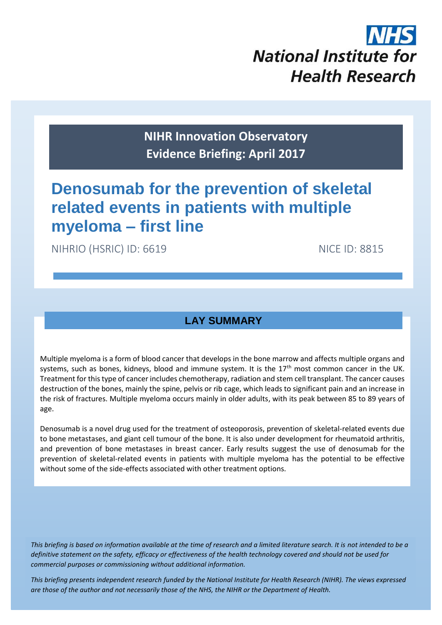

**NIHR Innovation Observatory Evidence Briefing: April 2017**

# **Denosumab for the prevention of skeletal related events in patients with multiple myeloma – first line**

NIHRIO (HSRIC) ID: 6619 NICE ID: 8815

## **LAY SUMMARY**

Multiple myeloma is a form of blood cancer that develops in the bone marrow and affects multiple organs and systems, such as bones, kidneys, blood and immune system. It is the 17<sup>th</sup> most common cancer in the UK. Treatment for this type of cancer includes chemotherapy, radiation and stem cell transplant. The cancer causes destruction of the bones, mainly the spine, pelvis or rib cage, which leads to significant pain and an increase in the risk of fractures. Multiple myeloma occurs mainly in older adults, with its peak between 85 to 89 years of age.

Denosumab is a novel drug used for the treatment of osteoporosis, prevention of skeletal-related events due to bone metastases, and giant cell tumour of the bone. It is also under development for rheumatoid arthritis, and prevention of bone metastases in breast cancer. Early results suggest the use of denosumab for the prevention of skeletal-related events in patients with multiple myeloma has the potential to be effective without some of the side-effects associated with other treatment options.

*This briefing is based on information available at the time of research and a limited literature search. It is not intended to be a definitive statement on the safety, efficacy or effectiveness of the health technology covered and should not be used for commercial purposes or commissioning without additional information.*

1 *This briefing presents independent research funded by the National Institute for Health Research (NIHR). The views expressed are those of the author and not necessarily those of the NHS, the NIHR or the Department of Health.*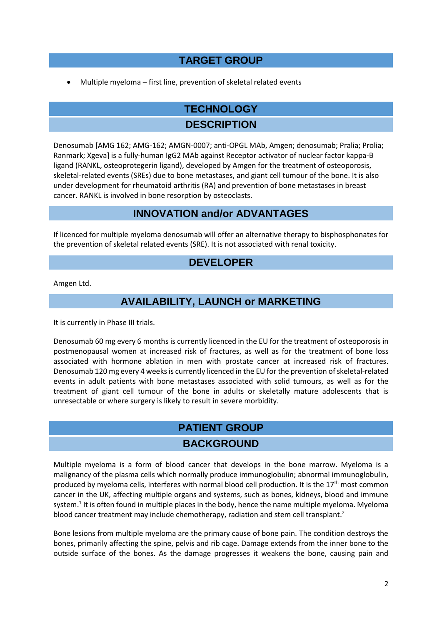# **TARGET GROUP**

Multiple myeloma – first line, prevention of skeletal related events

# **TECHNOLOGY**

## **DESCRIPTION**

Denosumab [AMG 162; AMG-162; AMGN-0007; anti-OPGL MAb, Amgen; denosumab; Pralia; Prolia; Ranmark; Xgeva] is a fully-human IgG2 MAb against Receptor activator of nuclear factor kappa-B ligand (RANKL, osteoprotegerin ligand), developed by Amgen for the treatment of osteoporosis, skeletal-related events (SREs) due to bone metastases, and giant cell tumour of the bone. It is also under development for rheumatoid arthritis (RA) and prevention of bone metastases in breast cancer. RANKL is involved in bone resorption by osteoclasts.

## **INNOVATION and/or ADVANTAGES**

If licenced for multiple myeloma denosumab will offer an alternative therapy to bisphosphonates for the prevention of skeletal related events (SRE). It is not associated with renal toxicity.

## **DEVELOPER**

Amgen Ltd.

# **AVAILABILITY, LAUNCH or MARKETING**

It is currently in Phase III trials.

Denosumab 60 mg every 6 months is currently licenced in the EU for the treatment of osteoporosis in postmenopausal women at increased risk of fractures, as well as for the treatment of bone loss associated with hormone ablation in men with prostate cancer at increased risk of fractures. Denosumab 120 mg every 4 weeks is currently licenced in the EU for the prevention of skeletal-related events in adult patients with bone metastases associated with solid tumours, as well as for the treatment of giant cell tumour of the bone in adults or skeletally mature adolescents that is unresectable or where surgery is likely to result in severe morbidity.

# **PATIENT GROUP BACKGROUND**

Multiple myeloma is a form of blood cancer that develops in the bone marrow. Myeloma is a malignancy of the plasma cells which normally produce immunoglobulin; abnormal immunoglobulin, produced by myeloma cells, interferes with normal blood cell production. It is the 17<sup>th</sup> most common cancer in the UK, affecting multiple organs and systems, such as bones, kidneys, blood and immune system.<sup>1</sup> It is often found in multiple places in the body, hence the name multiple myeloma. Myeloma blood cancer treatment may include chemotherapy, radiation and stem cell transplant.<sup>2</sup>

Bone lesions from multiple myeloma are the primary cause of bone pain. The condition destroys the bones, primarily affecting the spine, pelvis and rib cage. Damage extends from the inner bone to the outside surface of the bones. As the damage progresses it weakens the bone, causing pain and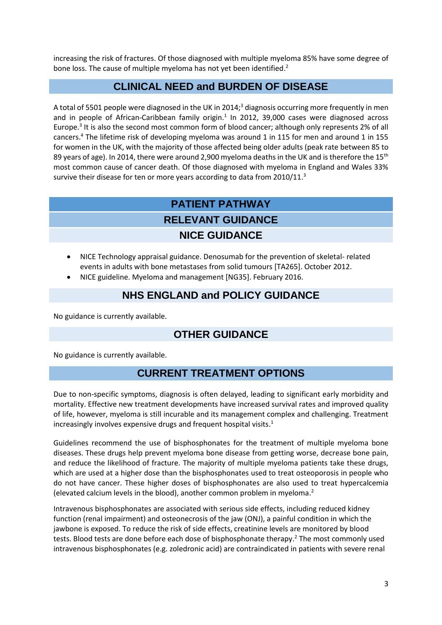increasing the risk of fractures. Of those diagnosed with multiple myeloma 85% have some degree of bone loss. The cause of multiple myeloma has not yet been identified.<sup>2</sup>

#### **CLINICAL NEED and BURDEN OF DISEASE**

A total of 5501 people were diagnosed in the UK in 2014;<sup>3</sup> diagnosis occurring more frequently in men and in people of African-Caribbean family origin.<sup>1</sup> In 2012, 39,000 cases were diagnosed across Europe. 3 It is also the second most common form of blood cancer; although only represents 2% of all cancers. <sup>4</sup> The lifetime risk of developing myeloma was around 1 in 115 for men and around 1 in 155 for women in the UK, with the majority of those affected being older adults (peak rate between 85 to 89 years of age). In 2014, there were around 2,900 myeloma deaths in the UK and is therefore the 15<sup>th</sup> most common cause of cancer death. Of those diagnosed with myeloma in England and Wales 33% survive their disease for ten or more years according to data from 2010/11.<sup>3</sup>

# **PATIENT PATHWAY RELEVANT GUIDANCE NICE GUIDANCE**

- NICE Technology appraisal guidance. Denosumab for the prevention of skeletal- related events in adults with bone metastases from solid tumours [TA265]. October 2012.
- NICE guideline. Myeloma and management [NG35]. February 2016.

## **NHS ENGLAND and POLICY GUIDANCE**

No guidance is currently available.

# **OTHER GUIDANCE**

No guidance is currently available.

## **CURRENT TREATMENT OPTIONS**

Due to non-specific symptoms, diagnosis is often delayed, leading to significant early morbidity and mortality. Effective new treatment developments have increased survival rates and improved quality of life, however, myeloma is still incurable and its management complex and challenging. Treatment increasingly involves expensive drugs and frequent hospital visits. 1

Guidelines recommend the use of bisphosphonates for the treatment of multiple myeloma bone diseases. These drugs help prevent myeloma bone disease from getting worse, decrease bone pain, and reduce the likelihood of fracture. The majority of multiple myeloma patients take these drugs, which are used at a higher dose than the bisphosphonates used to treat osteoporosis in people who do not have cancer. These higher doses of bisphosphonates are also used to treat hypercalcemia (elevated calcium levels in the blood), another common problem in myeloma. 2

Intravenous bisphosphonates are associated with serious side effects, including reduced kidney function (renal impairment) and osteonecrosis of the jaw (ONJ), a painful condition in which the jawbone is exposed. To reduce the risk of side effects, creatinine levels are monitored by blood tests. Blood tests are done before each dose of bisphosphonate therapy. <sup>2</sup> The most commonly used intravenous bisphosphonates (e.g. zoledronic acid) are contraindicated in patients with severe renal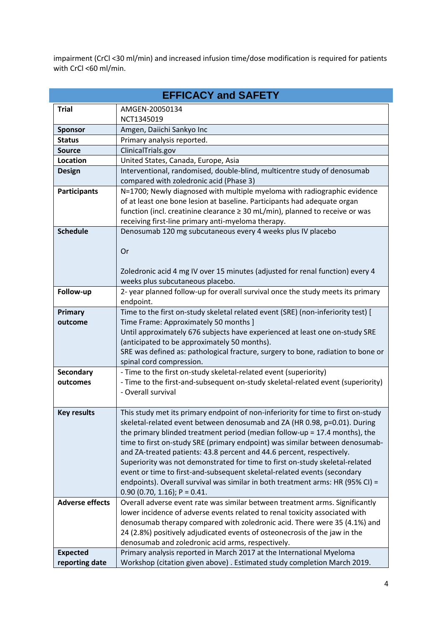impairment (CrCl <30 ml/min) and increased infusion time/dose modification is required for patients with CrCl <60 ml/min.

| <b>EFFICACY and SAFETY</b> |                                                                                                                                                       |  |  |  |  |  |
|----------------------------|-------------------------------------------------------------------------------------------------------------------------------------------------------|--|--|--|--|--|
| <b>Trial</b>               | AMGEN-20050134                                                                                                                                        |  |  |  |  |  |
|                            | NCT1345019                                                                                                                                            |  |  |  |  |  |
| <b>Sponsor</b>             | Amgen, Daiichi Sankyo Inc                                                                                                                             |  |  |  |  |  |
| <b>Status</b>              | Primary analysis reported.                                                                                                                            |  |  |  |  |  |
| <b>Source</b>              | ClinicalTrials.gov                                                                                                                                    |  |  |  |  |  |
| <b>Location</b>            | United States, Canada, Europe, Asia                                                                                                                   |  |  |  |  |  |
| <b>Design</b>              | Interventional, randomised, double-blind, multicentre study of denosumab                                                                              |  |  |  |  |  |
|                            | compared with zoledronic acid (Phase 3)                                                                                                               |  |  |  |  |  |
| <b>Participants</b>        | N=1700; Newly diagnosed with multiple myeloma with radiographic evidence                                                                              |  |  |  |  |  |
|                            | of at least one bone lesion at baseline. Participants had adequate organ                                                                              |  |  |  |  |  |
|                            | function (incl. creatinine clearance $\geq 30$ mL/min), planned to receive or was                                                                     |  |  |  |  |  |
|                            | receiving first-line primary anti-myeloma therapy.                                                                                                    |  |  |  |  |  |
| <b>Schedule</b>            | Denosumab 120 mg subcutaneous every 4 weeks plus IV placebo                                                                                           |  |  |  |  |  |
|                            |                                                                                                                                                       |  |  |  |  |  |
|                            | Or                                                                                                                                                    |  |  |  |  |  |
|                            |                                                                                                                                                       |  |  |  |  |  |
|                            | Zoledronic acid 4 mg IV over 15 minutes (adjusted for renal function) every 4                                                                         |  |  |  |  |  |
|                            | weeks plus subcutaneous placebo.                                                                                                                      |  |  |  |  |  |
| Follow-up                  | 2- year planned follow-up for overall survival once the study meets its primary                                                                       |  |  |  |  |  |
|                            | endpoint.                                                                                                                                             |  |  |  |  |  |
| Primary                    | Time to the first on-study skeletal related event (SRE) (non-inferiority test) [                                                                      |  |  |  |  |  |
| outcome                    | Time Frame: Approximately 50 months ]                                                                                                                 |  |  |  |  |  |
|                            | Until approximately 676 subjects have experienced at least one on-study SRE                                                                           |  |  |  |  |  |
|                            | (anticipated to be approximately 50 months).                                                                                                          |  |  |  |  |  |
|                            | SRE was defined as: pathological fracture, surgery to bone, radiation to bone or                                                                      |  |  |  |  |  |
|                            | spinal cord compression.                                                                                                                              |  |  |  |  |  |
| <b>Secondary</b>           | - Time to the first on-study skeletal-related event (superiority)                                                                                     |  |  |  |  |  |
| outcomes                   | - Time to the first-and-subsequent on-study skeletal-related event (superiority)                                                                      |  |  |  |  |  |
|                            | - Overall survival                                                                                                                                    |  |  |  |  |  |
|                            |                                                                                                                                                       |  |  |  |  |  |
| <b>Key results</b>         | This study met its primary endpoint of non-inferiority for time to first on-study                                                                     |  |  |  |  |  |
|                            | skeletal-related event between denosumab and ZA (HR 0.98, p=0.01). During                                                                             |  |  |  |  |  |
|                            | the primary blinded treatment period (median follow-up = $17.4$ months), the                                                                          |  |  |  |  |  |
|                            | time to first on-study SRE (primary endpoint) was similar between denosumab-                                                                          |  |  |  |  |  |
|                            | and ZA-treated patients: 43.8 percent and 44.6 percent, respectively.<br>Superiority was not demonstrated for time to first on-study skeletal-related |  |  |  |  |  |
|                            | event or time to first-and-subsequent skeletal-related events (secondary                                                                              |  |  |  |  |  |
|                            | endpoints). Overall survival was similar in both treatment arms: HR (95% CI) =                                                                        |  |  |  |  |  |
|                            | $0.90$ (0.70, 1.16); P = 0.41.                                                                                                                        |  |  |  |  |  |
| <b>Adverse effects</b>     | Overall adverse event rate was similar between treatment arms. Significantly                                                                          |  |  |  |  |  |
|                            | lower incidence of adverse events related to renal toxicity associated with                                                                           |  |  |  |  |  |
|                            | denosumab therapy compared with zoledronic acid. There were 35 (4.1%) and                                                                             |  |  |  |  |  |
|                            | 24 (2.8%) positively adjudicated events of osteonecrosis of the jaw in the                                                                            |  |  |  |  |  |
|                            | denosumab and zoledronic acid arms, respectively.                                                                                                     |  |  |  |  |  |
| <b>Expected</b>            | Primary analysis reported in March 2017 at the International Myeloma                                                                                  |  |  |  |  |  |
| reporting date             | Workshop (citation given above) . Estimated study completion March 2019.                                                                              |  |  |  |  |  |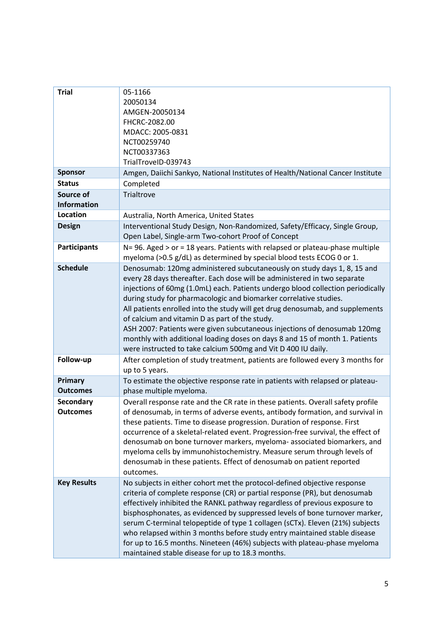| <b>Trial</b><br><b>Sponsor</b>      | 05-1166<br>20050134<br>AMGEN-20050134<br>FHCRC-2082.00<br>MDACC: 2005-0831<br>NCT00259740<br>NCT00337363<br>TrialTroveID-039743<br>Amgen, Daiichi Sankyo, National Institutes of Health/National Cancer Institute                                                                                                                                                                                                                                                                                                                                                                                                                                                          |  |  |
|-------------------------------------|----------------------------------------------------------------------------------------------------------------------------------------------------------------------------------------------------------------------------------------------------------------------------------------------------------------------------------------------------------------------------------------------------------------------------------------------------------------------------------------------------------------------------------------------------------------------------------------------------------------------------------------------------------------------------|--|--|
| <b>Status</b>                       | Completed<br>Trialtrove                                                                                                                                                                                                                                                                                                                                                                                                                                                                                                                                                                                                                                                    |  |  |
| Source of<br><b>Information</b>     |                                                                                                                                                                                                                                                                                                                                                                                                                                                                                                                                                                                                                                                                            |  |  |
| <b>Location</b>                     | Australia, North America, United States                                                                                                                                                                                                                                                                                                                                                                                                                                                                                                                                                                                                                                    |  |  |
| <b>Design</b>                       | Interventional Study Design, Non-Randomized, Safety/Efficacy, Single Group,<br>Open Label, Single-arm Two-cohort Proof of Concept                                                                                                                                                                                                                                                                                                                                                                                                                                                                                                                                          |  |  |
| <b>Participants</b>                 | N= 96. Aged > or = 18 years. Patients with relapsed or plateau-phase multiple<br>myeloma (>0.5 g/dL) as determined by special blood tests ECOG 0 or 1.                                                                                                                                                                                                                                                                                                                                                                                                                                                                                                                     |  |  |
| <b>Schedule</b>                     | Denosumab: 120mg administered subcutaneously on study days 1, 8, 15 and<br>every 28 days thereafter. Each dose will be administered in two separate<br>injections of 60mg (1.0mL) each. Patients undergo blood collection periodically<br>during study for pharmacologic and biomarker correlative studies.<br>All patients enrolled into the study will get drug denosumab, and supplements<br>of calcium and vitamin D as part of the study.<br>ASH 2007: Patients were given subcutaneous injections of denosumab 120mg<br>monthly with additional loading doses on days 8 and 15 of month 1. Patients<br>were instructed to take calcium 500mg and Vit D 400 IU daily. |  |  |
| Follow-up                           | After completion of study treatment, patients are followed every 3 months for<br>up to 5 years.                                                                                                                                                                                                                                                                                                                                                                                                                                                                                                                                                                            |  |  |
| Primary<br><b>Outcomes</b>          | To estimate the objective response rate in patients with relapsed or plateau-<br>phase multiple myeloma.                                                                                                                                                                                                                                                                                                                                                                                                                                                                                                                                                                   |  |  |
| <b>Secondary</b><br><b>Outcomes</b> | Overall response rate and the CR rate in these patients. Overall safety profile<br>of denosumab, in terms of adverse events, antibody formation, and survival in<br>these patients. Time to disease progression. Duration of response. First<br>occurrence of a skeletal-related event. Progression-free survival, the effect of<br>denosumab on bone turnover markers, myeloma- associated biomarkers, and<br>myeloma cells by immunohistochemistry. Measure serum through levels of<br>denosumab in these patients. Effect of denosumab on patient reported<br>outcomes.                                                                                                 |  |  |
| <b>Key Results</b>                  | No subjects in either cohort met the protocol-defined objective response<br>criteria of complete response (CR) or partial response (PR), but denosumab<br>effectively inhibited the RANKL pathway regardless of previous exposure to<br>bisphosphonates, as evidenced by suppressed levels of bone turnover marker,<br>serum C-terminal telopeptide of type 1 collagen (sCTx). Eleven (21%) subjects<br>who relapsed within 3 months before study entry maintained stable disease<br>for up to 16.5 months. Nineteen (46%) subjects with plateau-phase myeloma<br>maintained stable disease for up to 18.3 months.                                                         |  |  |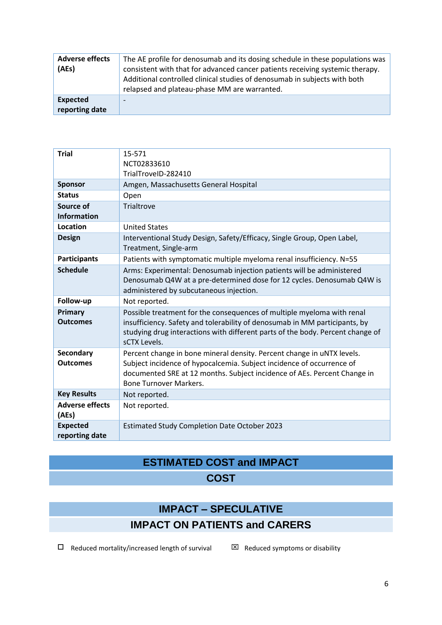| <b>Adverse effects</b><br>(AEs)   | The AE profile for denosumab and its dosing schedule in these populations was<br>consistent with that for advanced cancer patients receiving systemic therapy.<br>Additional controlled clinical studies of denosumab in subjects with both<br>relapsed and plateau-phase MM are warranted. |
|-----------------------------------|---------------------------------------------------------------------------------------------------------------------------------------------------------------------------------------------------------------------------------------------------------------------------------------------|
| <b>Expected</b><br>reporting date |                                                                                                                                                                                                                                                                                             |

| <b>Trial</b>                        | 15-571<br>NCT02833610<br>TrialTroveID-282410                                                                                                                                                                                                                 |
|-------------------------------------|--------------------------------------------------------------------------------------------------------------------------------------------------------------------------------------------------------------------------------------------------------------|
| <b>Sponsor</b>                      | Amgen, Massachusetts General Hospital                                                                                                                                                                                                                        |
| <b>Status</b>                       | Open                                                                                                                                                                                                                                                         |
| Source of<br><b>Information</b>     | Trialtrove                                                                                                                                                                                                                                                   |
| Location                            | <b>United States</b>                                                                                                                                                                                                                                         |
| <b>Design</b>                       | Interventional Study Design, Safety/Efficacy, Single Group, Open Label,<br>Treatment, Single-arm                                                                                                                                                             |
| <b>Participants</b>                 | Patients with symptomatic multiple myeloma renal insufficiency. N=55                                                                                                                                                                                         |
| <b>Schedule</b>                     | Arms: Experimental: Denosumab injection patients will be administered<br>Denosumab Q4W at a pre-determined dose for 12 cycles. Denosumab Q4W is<br>administered by subcutaneous injection.                                                                   |
| Follow-up                           | Not reported.                                                                                                                                                                                                                                                |
| Primary<br><b>Outcomes</b>          | Possible treatment for the consequences of multiple myeloma with renal<br>insufficiency. Safety and tolerability of denosumab in MM participants, by<br>studying drug interactions with different parts of the body. Percent change of<br>sCTX Levels.       |
| <b>Secondary</b><br><b>Outcomes</b> | Percent change in bone mineral density. Percent change in uNTX levels.<br>Subject incidence of hypocalcemia. Subject incidence of occurrence of<br>documented SRE at 12 months. Subject incidence of AEs. Percent Change in<br><b>Bone Turnover Markers.</b> |
| <b>Key Results</b>                  | Not reported.                                                                                                                                                                                                                                                |
| <b>Adverse effects</b><br>(AEs)     | Not reported.                                                                                                                                                                                                                                                |
| <b>Expected</b><br>reporting date   | <b>Estimated Study Completion Date October 2023</b>                                                                                                                                                                                                          |

# **ESTIMATED COST and IMPACT COST**

# **IMPACT – SPECULATIVE**

# **IMPACT ON PATIENTS and CARERS**

 $\square$  Reduced mortality/increased length of survival  $\square$  Reduced symptoms or disability